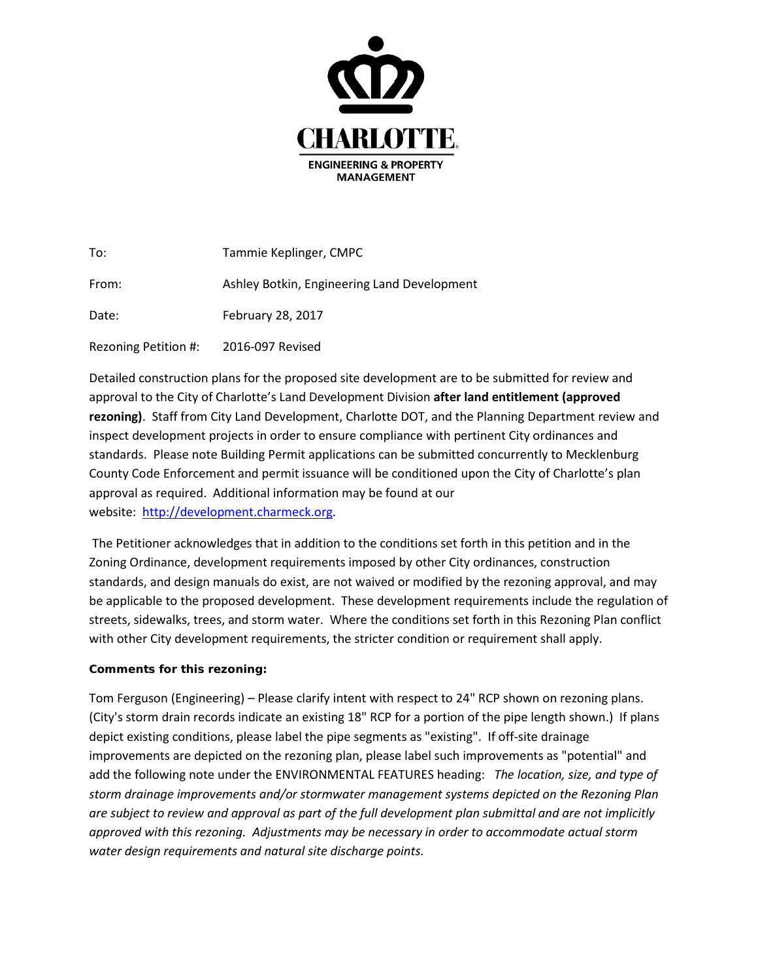

| To:                  | Tammie Keplinger, CMPC                      |
|----------------------|---------------------------------------------|
| From:                | Ashley Botkin, Engineering Land Development |
| Date:                | February 28, 2017                           |
| Rezoning Petition #: | 2016-097 Revised                            |

Detailed construction plans for the proposed site development are to be submitted for review and approval to the City of Charlotte's Land Development Division **after land entitlement (approved rezoning)**. Staff from City Land Development, Charlotte DOT, and the Planning Department review and inspect development projects in order to ensure compliance with pertinent City ordinances and standards. Please note Building Permit applications can be submitted concurrently to Mecklenburg County Code Enforcement and permit issuance will be conditioned upon the City of Charlotte's plan approval as required. Additional information may be found at our website: [http://development.charmeck.org.](http://development.charmeck.org/)

The Petitioner acknowledges that in addition to the conditions set forth in this petition and in the Zoning Ordinance, development requirements imposed by other City ordinances, construction standards, and design manuals do exist, are not waived or modified by the rezoning approval, and may be applicable to the proposed development. These development requirements include the regulation of streets, sidewalks, trees, and storm water. Where the conditions set forth in this Rezoning Plan conflict with other City development requirements, the stricter condition or requirement shall apply.

## **Comments for this rezoning:**

Tom Ferguson (Engineering) – Please clarify intent with respect to 24" RCP shown on rezoning plans. (City's storm drain records indicate an existing 18" RCP for a portion of the pipe length shown.) If plans depict existing conditions, please label the pipe segments as "existing". If off-site drainage improvements are depicted on the rezoning plan, please label such improvements as "potential" and add the following note under the ENVIRONMENTAL FEATURES heading: *The location, size, and type of storm drainage improvements and/or stormwater management systems depicted on the Rezoning Plan are subject to review and approval as part of the full development plan submittal and are not implicitly approved with this rezoning. Adjustments may be necessary in order to accommodate actual storm water design requirements and natural site discharge points.*